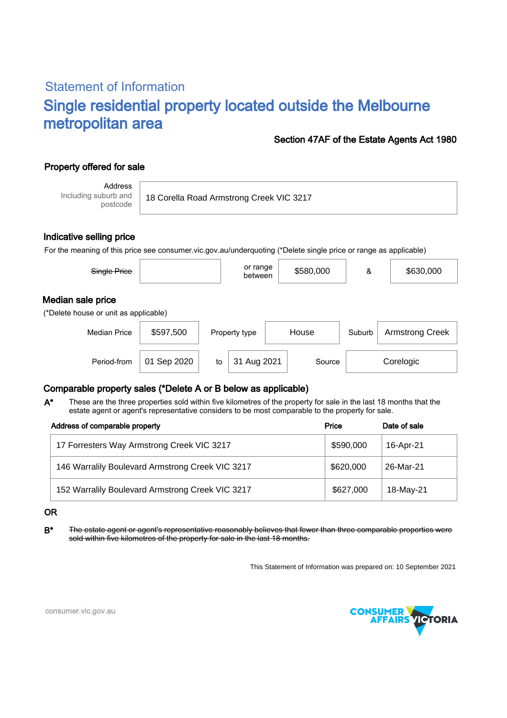# Statement of Information Single residential property located outside the Melbourne metropolitan area

### Section 47AF of the Estate Agents Act 1980

## Property offered for sale

Address Including suburb and postcode

18 Corella Road Armstrong Creek VIC 3217

### Indicative selling price

For the meaning of this price see consumer.vic.gov.au/underquoting (\*Delete single price or range as applicable)

| Single Price                                               |             |    | or range<br>between    |  | \$580,000 | &      | \$630,000              |  |
|------------------------------------------------------------|-------------|----|------------------------|--|-----------|--------|------------------------|--|
| Median sale price<br>(*Delete house or unit as applicable) |             |    |                        |  |           |        |                        |  |
| <b>Median Price</b>                                        | \$597,500   |    | House<br>Property type |  |           | Suburb | <b>Armstrong Creek</b> |  |
| Period-from                                                | 01 Sep 2020 | to | 31 Aug 2021            |  | Source    |        | Corelogic              |  |

### Comparable property sales (\*Delete A or B below as applicable)

These are the three properties sold within five kilometres of the property for sale in the last 18 months that the estate agent or agent's representative considers to be most comparable to the property for sale. A\*

| Address of comparable property                   | Price     | Date of sale |
|--------------------------------------------------|-----------|--------------|
| 17 Forresters Way Armstrong Creek VIC 3217       | \$590,000 | 16-Apr-21    |
| 146 Warralily Boulevard Armstrong Creek VIC 3217 | \$620,000 | 26-Mar-21    |
| 152 Warralily Boulevard Armstrong Creek VIC 3217 | \$627,000 | 18-May-21    |

#### OR

B<sup>\*</sup> The estate agent or agent's representative reasonably believes that fewer than three comparable properties were sold within five kilometres of the property for sale in the last 18 months.

This Statement of Information was prepared on: 10 September 2021



consumer.vic.gov.au